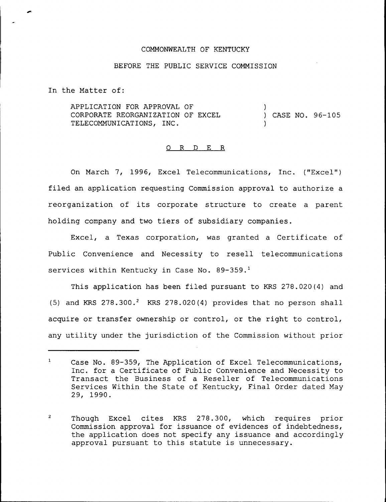## COMMONWEALTH OF KENTUCKY

## BEFORE THE PUBLIC SERVICE COMMISSION

In the Matter of:

APPLICATION FOR APPROVAL OF CORPORATE REORGANIZATION OF EXCEL TELECOMMUNICATIONS, INC. ) ) CASE NO. 96-105 )

## 0 R <sup>D</sup> E R

On March 7, 1996, Excel Telecommunications, Inc. ("Excel" ) filed an application requesting Commission approval to authorize a reorganization of its corporate structure to create <sup>a</sup> parent holding company and two tiers of subsidiary companies.

Excel, a Texas corporation, was granted a Certificate of Public Convenience and Necessity to resell telecommunications services within Kentucky in Case No. 89-359.<sup>1</sup>

This application has been filed pursuant to KRS 278.020(4) and (5) and KRS  $278.300.^2$  KRS  $278.020(4)$  provides that no person shall acquire or transfer ownership or control, or the right to control, any utility under the jurisdiction of the Commission without prior

 $\overline{2}$ Though Excel cites KRS 278.300, which requires prior Commission approval for issuance of evidences of indebtedness, the application does not specify any issuance and accordingly approval pursuant to this statute is unnecessary.

 $\mathbf{1}$ Case No. 89-359, The Application of Excel Telecommunications, Inc. for a Certificate of Public Convenience and Necessity to Transact the Business of a Reseller of Telecommunications Services Within the State of Kentucky, Final Order dated May 29, 1990.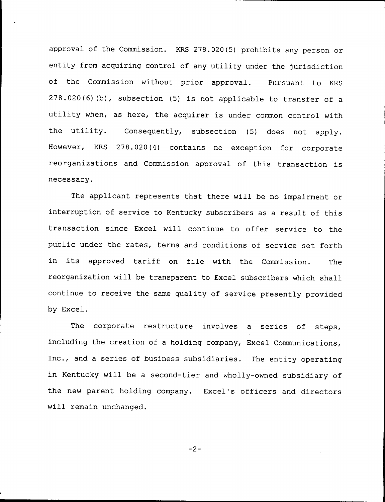approval of the Commission. KRS 278.020 (5) prohibits any person or entity from acquiring control of any utility under the jurisdiction of the Commission without prior approval. Pursuant to KRS 278.020(6)(b), subsection (5) is not applicable to transfer of <sup>a</sup> utility when, as here, the acquirer is under common control with the utility. Consequently, subsection (5) does not apply. However, KRS 278.020(4) contains no exception for corporate reorganizations and Commission approval of this transaction is necessary.

The applicant represents that there will be no impairment or interruption of service to Kentucky subscribers as a result of this transaction since Excel will continue to offer service to the public under the rates, terms and conditions of service set forth in its approved tariff on file with the Commission. The reorganization will be transparent to Excel subscribers which shall continue to receive the same quality of service presently provided by Excel.

The corporate restructure involves a series of steps, including the creation of a holding company, Excel Communications, Inc., and <sup>a</sup> series of business subsidiaries. The entity operating in Kentucky will be a second-tier and wholly-owned subsidiary of the new parent holding company. Excel's officers and directors will remain unchanged.

 $-2-$